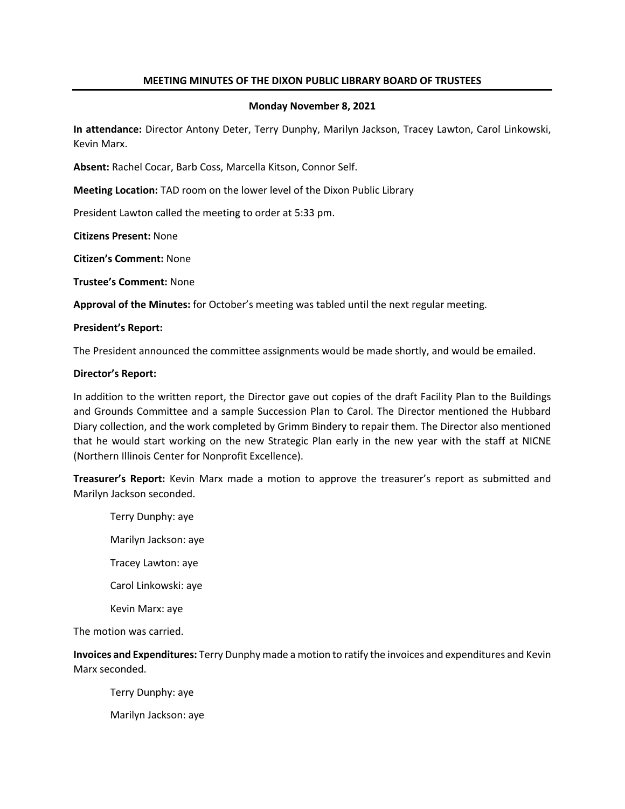# **MEETING MINUTES OF THE DIXON PUBLIC LIBRARY BOARD OF TRUSTEES**

## **Monday November 8, 2021**

**In attendance:** Director Antony Deter, Terry Dunphy, Marilyn Jackson, Tracey Lawton, Carol Linkowski, Kevin Marx.

**Absent:** Rachel Cocar, Barb Coss, Marcella Kitson, Connor Self.

**Meeting Location:** TAD room on the lower level of the Dixon Public Library

President Lawton called the meeting to order at 5:33 pm.

**Citizens Present:** None

**Citizen's Comment:** None

**Trustee's Comment:** None

**Approval of the Minutes:** for October's meeting was tabled until the next regular meeting.

#### **President's Report:**

The President announced the committee assignments would be made shortly, and would be emailed.

#### **Director's Report:**

In addition to the written report, the Director gave out copies of the draft Facility Plan to the Buildings and Grounds Committee and a sample Succession Plan to Carol. The Director mentioned the Hubbard Diary collection, and the work completed by Grimm Bindery to repair them. The Director also mentioned that he would start working on the new Strategic Plan early in the new year with the staff at NICNE (Northern Illinois Center for Nonprofit Excellence).

**Treasurer's Report:** Kevin Marx made a motion to approve the treasurer's report as submitted and Marilyn Jackson seconded.

Terry Dunphy: aye Marilyn Jackson: aye Tracey Lawton: aye Carol Linkowski: aye Kevin Marx: aye

The motion was carried.

**Invoices and Expenditures:** Terry Dunphy made a motion to ratify the invoices and expenditures and Kevin Marx seconded.

Terry Dunphy: aye

Marilyn Jackson: aye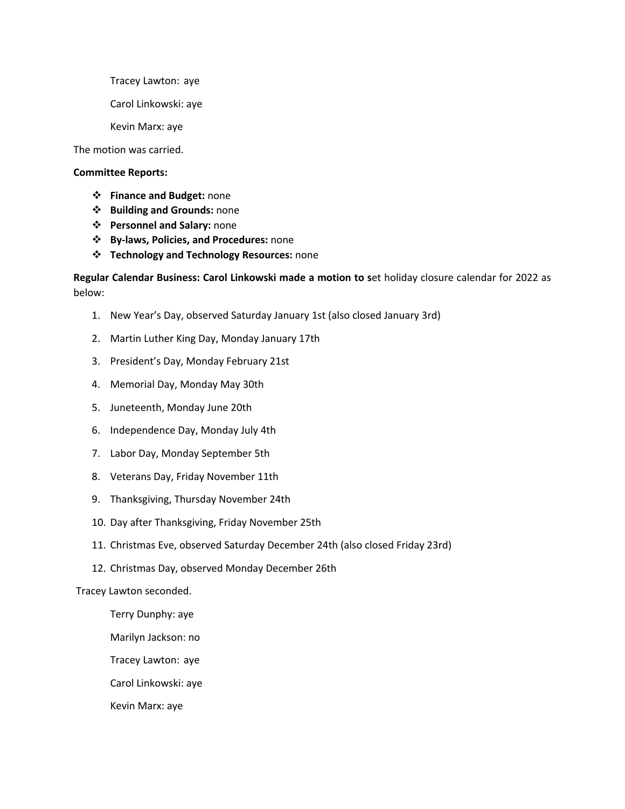Tracey Lawton: aye

Carol Linkowski: aye

Kevin Marx: aye

The motion was carried.

## **Committee Reports:**

- v **Finance and Budget:** none
- v **Building and Grounds:** none
- v **Personnel and Salary:** none
- v **By-laws, Policies, and Procedures:** none
- v **Technology and Technology Resources:** none

# **Regular Calendar Business: Carol Linkowski made a motion to s**et holiday closure calendar for 2022 as below:

- 1. New Year's Day, observed Saturday January 1st (also closed January 3rd)
- 2. Martin Luther King Day, Monday January 17th
- 3. President's Day, Monday February 21st
- 4. Memorial Day, Monday May 30th
- 5. Juneteenth, Monday June 20th
- 6. Independence Day, Monday July 4th
- 7. Labor Day, Monday September 5th
- 8. Veterans Day, Friday November 11th
- 9. Thanksgiving, Thursday November 24th
- 10. Day after Thanksgiving, Friday November 25th
- 11. Christmas Eve, observed Saturday December 24th (also closed Friday 23rd)
- 12. Christmas Day, observed Monday December 26th

Tracey Lawton seconded.

Terry Dunphy: aye

Marilyn Jackson: no

Tracey Lawton: aye

Carol Linkowski: aye

Kevin Marx: aye